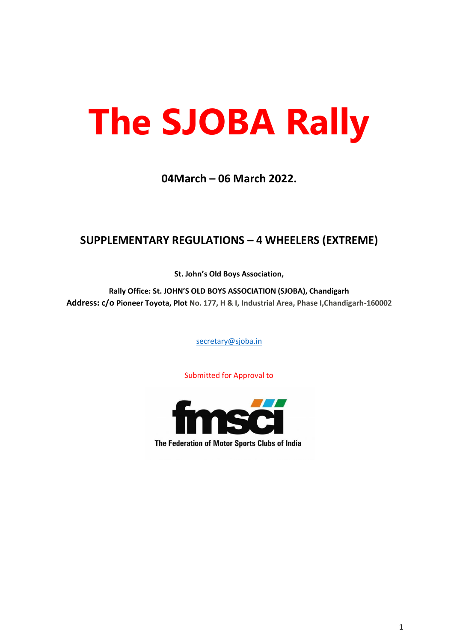# **The SJOBA Rally**

# **04March – 06 March 2022.**

# **SUPPLEMENTARY REGULATIONS – 4 WHEELERS (EXTREME)**

**St. John's Old Boys Association,**

**Rally Office: St. JOHN'S OLD BOYS ASSOCIATION (SJOBA), Chandigarh Address: c/o Pioneer Toyota, Plot No. 177, H & I, Industrial Area, Phase I,Chandigarh-160002**

[secretary@sjoba.in](mailto:secretary@sjoba.in)

Submitted for Approval to

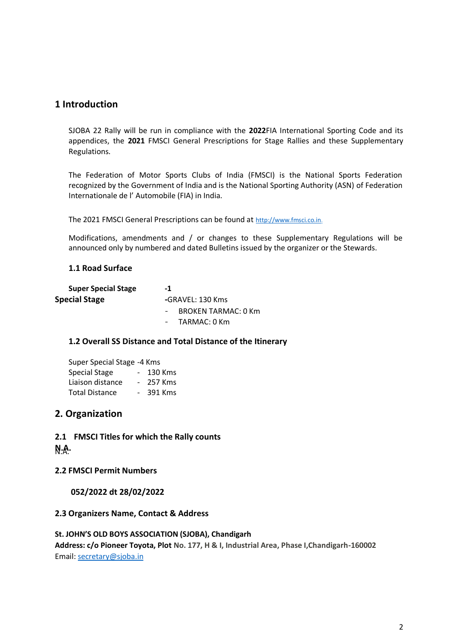## **1 Introduction**

SJOBA 22 Rally will be run in compliance with the **2022**FIA International Sporting Code and its appendices, the **2021** FMSCI General Prescriptions for Stage Rallies and these Supplementary Regulations.

The Federation of Motor Sports Clubs of India (FMSCI) is the National Sports Federation recognized by the Government of India and is the National Sporting Authority (ASN) of Federation Internationale de l' Automobile (FIA) in India.

The 2021 FMSCI General Prescriptions can be found at [http://www.fmsci.co.in.](http://www.fmsci.co.in/)

Modifications, amendments and / or changes to these Supplementary Regulations will be announced only by numbered and dated Bulletins issued by the organizer or the Stewards.

## **1.1 Road Surface**

| <b>Super Special Stage</b> | -1                         |  |
|----------------------------|----------------------------|--|
| <b>Special Stage</b>       | -GRAVEL: 130 Kms           |  |
|                            | <b>BROKEN TARMAC: 0 Km</b> |  |
|                            | TARMAC: 0 Km               |  |

## **1.2 Overall SS Distance and Total Distance of the Itinerary**

| Super Special Stage -4 Kms |        |         |
|----------------------------|--------|---------|
| Special Stage              | $\sim$ | 130 Kms |
| Liaison distance           |        | 257 Kms |
| <b>Total Distance</b>      |        | 391 Kms |

## **2. Organization**

**2.1 FMSCI Titles for which the Rally counts**

**N.A.** N.A.

**2.2 FMSCI Permit Numbers** 

**052/2022 dt 28/02/2022**

## **2.3 Organizers Name, Contact & Address**

## **St. JOHN'S OLD BOYS ASSOCIATION (SJOBA), Chandigarh**

**Address: c/o Pioneer Toyota, Plot No. 177, H & I, Industrial Area, Phase I,Chandigarh-160002** Email: [secretary@sjoba.in](mailto:secretary@sjoba.in)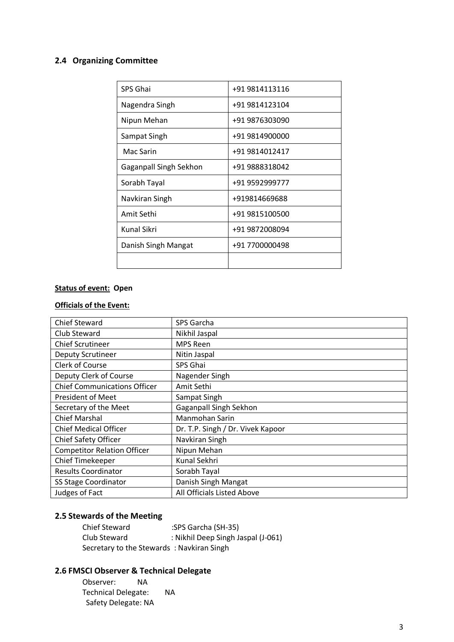## **2.4 Organizing Committee**

| SPS Ghai               | +91 9814113116 |
|------------------------|----------------|
| Nagendra Singh         | +91 9814123104 |
| Nipun Mehan            | +91 9876303090 |
| Sampat Singh           | +91 9814900000 |
| Mac Sarin              | +91 9814012417 |
| Gaganpall Singh Sekhon | +91 9888318042 |
| Sorabh Tayal           | +91 9592999777 |
| Navkiran Singh         | +919814669688  |
| Amit Sethi             | +91 9815100500 |
| Kunal Sikri            | +91 9872008094 |
| Danish Singh Mangat    | +91 7700000498 |
|                        |                |

# **Status of event: Open**

## **Officials of the Event:**

| <b>Chief Steward</b>                | SPS Garcha                        |
|-------------------------------------|-----------------------------------|
| Club Steward                        | Nikhil Jaspal                     |
| <b>Chief Scrutineer</b>             | <b>MPS Reen</b>                   |
| <b>Deputy Scrutineer</b>            | Nitin Jaspal                      |
| <b>Clerk of Course</b>              | SPS Ghai                          |
| Deputy Clerk of Course              | Nagender Singh                    |
| <b>Chief Communications Officer</b> | Amit Sethi                        |
| <b>President of Meet</b>            | Sampat Singh                      |
| Secretary of the Meet               | <b>Gaganpall Singh Sekhon</b>     |
| <b>Chief Marshal</b>                | Manmohan Sarin                    |
| <b>Chief Medical Officer</b>        | Dr. T.P. Singh / Dr. Vivek Kapoor |
| <b>Chief Safety Officer</b>         | Navkiran Singh                    |
| <b>Competitor Relation Officer</b>  | Nipun Mehan                       |
| Chief Timekeeper                    | Kunal Sekhri                      |
| <b>Results Coordinator</b>          | Sorabh Tayal                      |
| SS Stage Coordinator                | Danish Singh Mangat               |
| Judges of Fact                      | All Officials Listed Above        |

## **2.5 Stewards of the Meeting**

| <b>Chief Steward</b>                      | :SPS Garcha (SH-35)                |
|-------------------------------------------|------------------------------------|
| Club Steward                              | : Nikhil Deep Singh Jaspal (J-061) |
| Secretary to the Stewards: Navkiran Singh |                                    |

## **2.6 FMSCI Observer & Technical Delegate**

| Observer:                  | ΝA |    |
|----------------------------|----|----|
| <b>Technical Delegate:</b> |    | ΝA |
| Safety Delegate: NA        |    |    |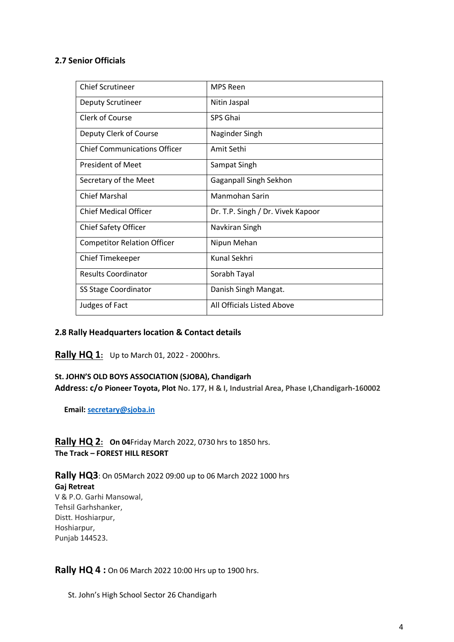## **2.7 Senior Officials**

| <b>Chief Scrutineer</b>             | <b>MPS Reen</b>                   |
|-------------------------------------|-----------------------------------|
| Deputy Scrutineer                   | Nitin Jaspal                      |
| Clerk of Course                     | SPS Ghai                          |
| Deputy Clerk of Course              | Naginder Singh                    |
| <b>Chief Communications Officer</b> | Amit Sethi                        |
| <b>President of Meet</b>            | Sampat Singh                      |
| Secretary of the Meet               | Gaganpall Singh Sekhon            |
| <b>Chief Marshal</b>                | Manmohan Sarin                    |
| <b>Chief Medical Officer</b>        | Dr. T.P. Singh / Dr. Vivek Kapoor |
| <b>Chief Safety Officer</b>         | Navkiran Singh                    |
| <b>Competitor Relation Officer</b>  | Nipun Mehan                       |
| <b>Chief Timekeeper</b>             | Kunal Sekhri                      |
| <b>Results Coordinator</b>          | Sorabh Tayal                      |
| <b>SS Stage Coordinator</b>         | Danish Singh Mangat.              |
| Judges of Fact                      | All Officials Listed Above        |

## **2.8 Rally Headquarters location & Contact details**

**Rally HQ 1:** Up to March 01, 2022 - 2000hrs.

## **St. JOHN'S OLD BOYS ASSOCIATION (SJOBA), Chandigarh**

**Address: c/o Pioneer Toyota, Plot No. 177, H & I, Industrial Area, Phase I,Chandigarh-160002**

 **Email: [secretary@sjoba.in](mailto:secretary@sjoba.in)**

**Rally HQ 2: On 04**Friday March 2022, 0730 hrs to 1850 hrs. **The Track – FOREST HILL RESORT**

**Rally HQ3**: On 05March 2022 09:00 up to 06 March 2022 1000 hrs **Gaj Retreat** V & P.O. Garhi Mansowal, Tehsil Garhshanker, Distt. Hoshiarpur, Hoshiarpur, Punjab 144523.

**Rally HQ 4 :** On 06 March 2022 10:00 Hrs up to 1900 hrs.

St. John's High School Sector 26 Chandigarh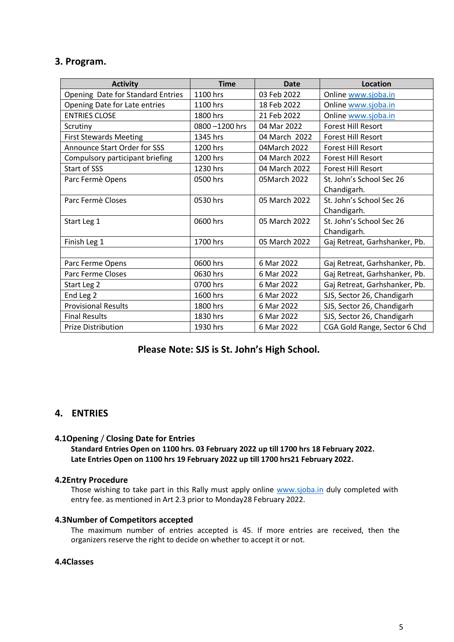## **3. Program.**

| <b>Activity</b>                     | <b>Time</b>   | <b>Date</b>   | Location                      |
|-------------------------------------|---------------|---------------|-------------------------------|
| Opening Date for Standard Entries   | 1100 hrs      | 03 Feb 2022   | Online www.sjoba.in           |
| Opening Date for Late entries       | 1100 hrs      | 18 Feb 2022   | Online www.sjoba.in           |
| <b>ENTRIES CLOSE</b>                | 1800 hrs      | 21 Feb 2022   | Online www.sjoba.in           |
| Scrutiny                            | 0800-1200 hrs | 04 Mar 2022   | <b>Forest Hill Resort</b>     |
| <b>First Stewards Meeting</b>       | 1345 hrs      | 04 March 2022 | <b>Forest Hill Resort</b>     |
| <b>Announce Start Order for SSS</b> | 1200 hrs      | 04 March 2022 | <b>Forest Hill Resort</b>     |
| Compulsory participant briefing     | 1200 hrs      | 04 March 2022 | <b>Forest Hill Resort</b>     |
| Start of SSS                        | 1230 hrs      | 04 March 2022 | <b>Forest Hill Resort</b>     |
| Parc Fermè Opens                    | 0500 hrs      | 05March 2022  | St. John's School Sec 26      |
|                                     |               |               | Chandigarh.                   |
| Parc Fermè Closes                   | 0530 hrs      | 05 March 2022 | St. John's School Sec 26      |
|                                     |               |               | Chandigarh.                   |
| Start Leg 1                         | 0600 hrs      | 05 March 2022 | St. John's School Sec 26      |
|                                     |               |               | Chandigarh.                   |
| Finish Leg 1                        | 1700 hrs      | 05 March 2022 | Gaj Retreat, Garhshanker, Pb. |
|                                     |               |               |                               |
| Parc Ferme Opens                    | 0600 hrs      | 6 Mar 2022    | Gaj Retreat, Garhshanker, Pb. |
| Parc Ferme Closes                   | 0630 hrs      | 6 Mar 2022    | Gaj Retreat, Garhshanker, Pb. |
| Start Leg 2                         | 0700 hrs      | 6 Mar 2022    | Gaj Retreat, Garhshanker, Pb. |
| End Leg 2                           | 1600 hrs      | 6 Mar 2022    | SJS, Sector 26, Chandigarh    |
| <b>Provisional Results</b>          | 1800 hrs      | 6 Mar 2022    | SJS, Sector 26, Chandigarh    |
| <b>Final Results</b>                | 1830 hrs      | 6 Mar 2022    | SJS, Sector 26, Chandigarh    |
| <b>Prize Distribution</b>           | 1930 hrs      | 6 Mar 2022    | CGA Gold Range, Sector 6 Chd  |

## **Please Note: SJS is St. John's High School.**

## **4. ENTRIES**

## **4.1Opening** / **Closing Date for Entries**

**Standard Entries Open on 1100 hrs. 03 February 2022 up till 1700 hrs 18 February 2022. Late Entries Open on 1100 hrs 19 February 2022 up till 1700 hrs21 February 2022.**

## **4.2Entry Procedure**

Those wishing to take part in this Rally must apply online [www.sjoba.in](http://www.sjoba.in/) duly completed with entry fee. as mentioned in Art 2.3 prior to Monday28 February 2022.

## **4.3Number of Competitors accepted**

The maximum number of entries accepted is 45. If more entries are received, then the organizers reserve the right to decide on whether to accept it or not.

## **4.4Classes**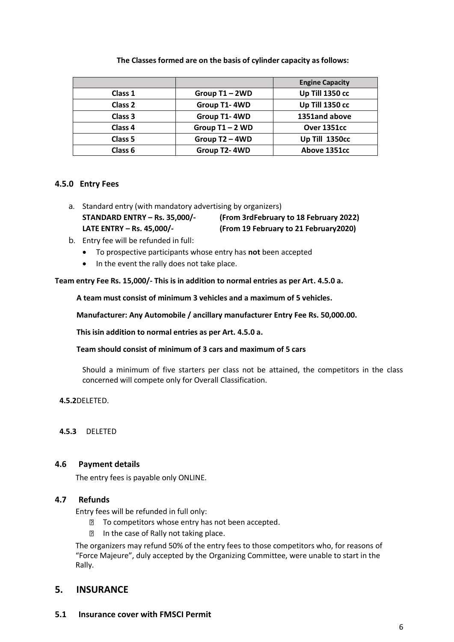|         |                   | <b>Engine Capacity</b> |
|---------|-------------------|------------------------|
| Class 1 | Group T1-2WD      | Up Till 1350 cc        |
| Class 2 | Group T1-4WD      | Up Till 1350 cc        |
| Class 3 | Group T1-4WD      | 1351and above          |
| Class 4 | Group $T1 - 2 WD$ | Over 1351cc            |
| Class 5 | Group T2 - 4WD    | Up Till 1350cc         |
| Class 6 | Group T2-4WD      | Above 1351cc           |

**The Classes formed are on the basis of cylinder capacity as follows:**

## **4.5.0 Entry Fees**

- a. Standard entry (with mandatory advertising by organizers) **STANDARD ENTRY – Rs. 35,000/- (From 3rdFebruary to 18 February 2022) LATE ENTRY – Rs. 45,000/- (From 19 February to 21 February2020)**
- b. Entry fee will be refunded in full:
	- To prospective participants whose entry has **not** been accepted
	- In the event the rally does not take place.

**Team entry Fee Rs. 15,000/- This is in addition to normal entries as per Art. 4.5.0 a.**

**A team must consist of minimum 3 vehicles and a maximum of 5 vehicles.** 

**Manufacturer: Any Automobile / ancillary manufacturer Entry Fee Rs. 50,000.00.** 

**This isin addition to normal entries as per Art. 4.5.0 a.**

## **Team should consist of minimum of 3 cars and maximum of 5 cars**

Should a minimum of five starters per class not be attained, the competitors in the class concerned will compete only for Overall Classification.

**4.5.2**DELETED.

**4.5.3** DELETED

## **4.6 Payment details**

The entry fees is payable only ONLINE.

## **4.7 Refunds**

Entry fees will be refunded in full only:

- **To competitors whose entry has not been accepted.**
- **In the case of Rally not taking place.**

The organizers may refund 50% of the entry fees to those competitors who, for reasons of "Force Majeure", duly accepted by the Organizing Committee, were unable to start in the Rally.

## **5. INSURANCE**

## **5.1 Insurance cover with FMSCI Permit**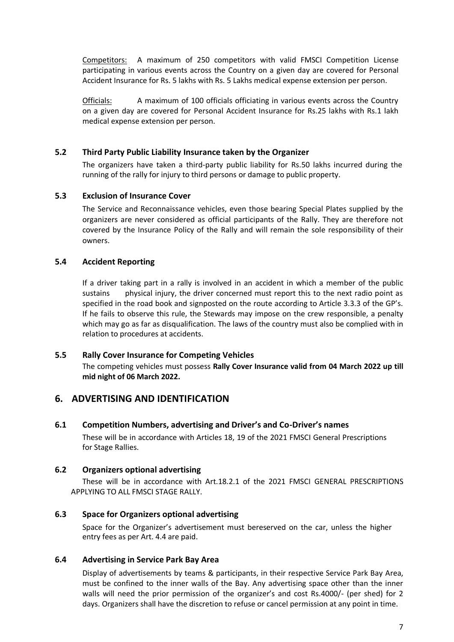Competitors: A maximum of 250 competitors with valid FMSCI Competition License participating in various events across the Country on a given day are covered for Personal Accident Insurance for Rs. 5 lakhs with Rs. 5 Lakhs medical expense extension per person.

Officials: A maximum of 100 officials officiating in various events across the Country on a given day are covered for Personal Accident Insurance for Rs.25 lakhs with Rs.1 lakh medical expense extension per person.

## **5.2 Third Party Public Liability Insurance taken by the Organizer**

The organizers have taken a third-party public liability for Rs.50 lakhs incurred during the running of the rally for injury to third persons or damage to public property.

## **5.3 Exclusion of Insurance Cover**

The Service and Reconnaissance vehicles, even those bearing Special Plates supplied by the organizers are never considered as official participants of the Rally. They are therefore not covered by the Insurance Policy of the Rally and will remain the sole responsibility of their owners.

## **5.4 Accident Reporting**

If a driver taking part in a rally is involved in an accident in which a member of the public sustains physical injury, the driver concerned must report this to the next radio point as specified in the road book and signposted on the route according to Article 3.3.3 of the GP's. If he fails to observe this rule, the Stewards may impose on the crew responsible, a penalty which may go as far as disqualification. The laws of the country must also be complied with in relation to procedures at accidents.

## **5.5 Rally Cover Insurance for Competing Vehicles**

The competing vehicles must possess **Rally Cover Insurance valid from 04 March 2022 up till mid night of 06 March 2022.**

## **6. ADVERTISING AND IDENTIFICATION**

## **6.1 Competition Numbers, advertising and Driver's and Co-Driver's names**

These will be in accordance with Articles 18, 19 of the 2021 FMSCI General Prescriptions for Stage Rallies.

## **6.2 Organizers optional advertising**

These will be in accordance with Art.18.2.1 of the 2021 FMSCI GENERAL PRESCRIPTIONS APPLYING TO ALL FMSCI STAGE RALLY.

## **6.3 Space for Organizers optional advertising**

Space for the Organizer's advertisement must bereserved on the car, unless the higher entry fees as per Art. 4.4 are paid.

## **6.4 Advertising in Service Park Bay Area**

Display of advertisements by teams & participants, in their respective Service Park Bay Area, must be confined to the inner walls of the Bay. Any advertising space other than the inner walls will need the prior permission of the organizer's and cost Rs.4000/- (per shed) for 2 days. Organizers shall have the discretion to refuse or cancel permission at any point in time.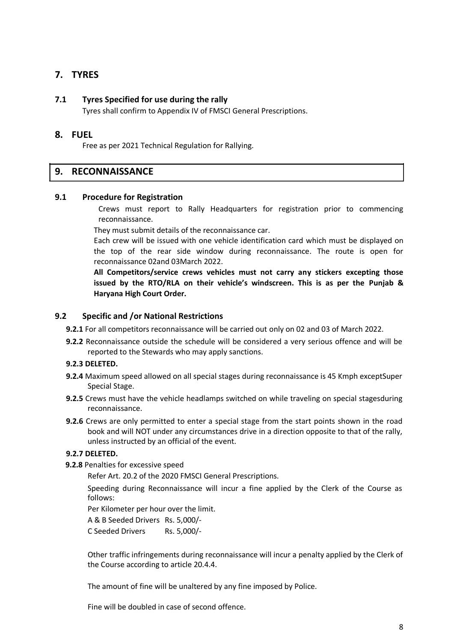## **7. TYRES**

## **7.1 Tyres Specified for use during the rally**

Tyres shall confirm to Appendix IV of FMSCI General Prescriptions.

## **8. FUEL**

Free as per 2021 Technical Regulation for Rallying.

## **9. RECONNAISSANCE**

#### **9.1 Procedure for Registration**

Crews must report to Rally Headquarters for registration prior to commencing reconnaissance.

They must submit details of the reconnaissance car.

Each crew will be issued with one vehicle identification card which must be displayed on the top of the rear side window during reconnaissance. The route is open for reconnaissance 02and 03March 2022.

**All Competitors/service crews vehicles must not carry any stickers excepting those issued by the RTO/RLA on their vehicle's windscreen. This is as per the Punjab & Haryana High Court Order.**

## **9.2 Specific and /or National Restrictions**

- **9.2.1** For all competitors reconnaissance will be carried out only on 02 and 03 of March 2022.
- **9.2.2** Reconnaissance outside the schedule will be considered a very serious offence and will be reported to the Stewards who may apply sanctions.

#### **9.2.3 DELETED.**

- **9.2.4** Maximum speed allowed on all special stages during reconnaissance is 45 Kmph exceptSuper Special Stage.
- **9.2.5** Crews must have the vehicle headlamps switched on while traveling on special stagesduring reconnaissance.
- **9.2.6** Crews are only permitted to enter a special stage from the start points shown in the road book and will NOT under any circumstances drive in a direction opposite to that of the rally, unless instructed by an official of the event.

## **9.2.7 DELETED.**

**9.2.8** Penalties for excessive speed

Refer Art. 20.2 of the 2020 FMSCI General Prescriptions.

Speeding during Reconnaissance will incur a fine applied by the Clerk of the Course as follows:

Per Kilometer per hour over the limit.

A & B Seeded Drivers Rs. 5,000/-

C Seeded Drivers Rs. 5,000/-

Other traffic infringements during reconnaissance will incur a penalty applied by the Clerk of the Course according to article 20.4.4.

The amount of fine will be unaltered by any fine imposed by Police.

Fine will be doubled in case of second offence.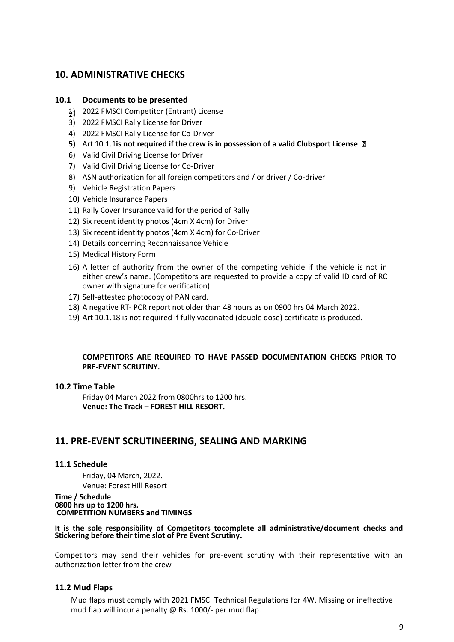## **10. ADMINISTRATIVE CHECKS**

## **10.1 Documents to be presented**

- 1) 2022 FMSCI Competitor (Entrant) License 2)
- 3) 2022 FMSCI Rally License for Driver
- 4) 2022 FMSCI Rally License for Co-Driver
- **5)** Art 10.1.1**is not required if the crew is in possession of a valid Clubsport License**
- 6) Valid Civil Driving License for Driver
- 7) Valid Civil Driving License for Co-Driver
- 8) ASN authorization for all foreign competitors and / or driver / Co-driver
- 9) Vehicle Registration Papers
- 10) Vehicle Insurance Papers
- 11) Rally Cover Insurance valid for the period of Rally
- 12) Six recent identity photos (4cm X 4cm) for Driver
- 13) Six recent identity photos (4cm X 4cm) for Co-Driver
- 14) Details concerning Reconnaissance Vehicle
- 15) Medical History Form
- 16) A letter of authority from the owner of the competing vehicle if the vehicle is not in either crew's name. (Competitors are requested to provide a copy of valid ID card of RC owner with signature for verification)
- 17) Self-attested photocopy of PAN card.
- 18) A negative RT- PCR report not older than 48 hours as on 0900 hrs 04 March 2022.
- 19) Art 10.1.18 is not required if fully vaccinated (double dose) certificate is produced.

## **COMPETITORS ARE REQUIRED TO HAVE PASSED DOCUMENTATION CHECKS PRIOR TO PRE-EVENT SCRUTINY.**

#### **10.2 Time Table**

Friday 04 March 2022 from 0800hrs to 1200 hrs. **Venue: The Track – FOREST HILL RESORT.**

## **11. PRE-EVENT SCRUTINEERING, SEALING AND MARKING**

## **11.1 Schedule**

Friday, 04 March, 2022. Venue: Forest Hill Resort

**Time / Schedule 0800 hrs up to 1200 hrs. COMPETITION NUMBERS and TIMINGS** 

**It is the sole responsibility of Competitors tocomplete all administrative/document checks and Stickering before their time slot of Pre Event Scrutiny.**

Competitors may send their vehicles for pre-event scrutiny with their representative with an authorization letter from the crew

## **11.2 Mud Flaps**

Mud flaps must comply with 2021 FMSCI Technical Regulations for 4W. Missing or ineffective mud flap will incur a penalty @ Rs. 1000/- per mud flap.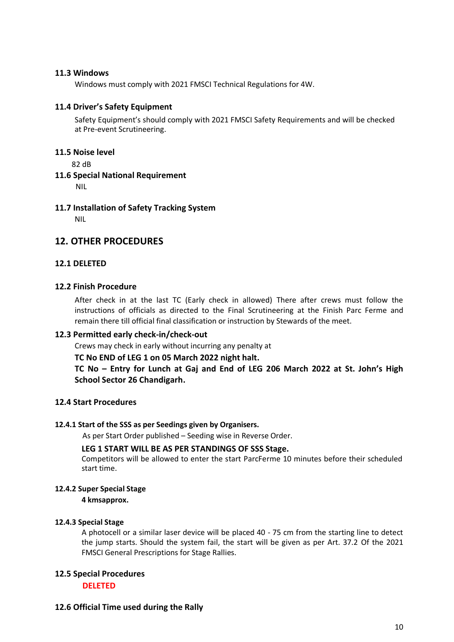## **11.3 Windows**

Windows must comply with 2021 FMSCI Technical Regulations for 4W.

## **11.4 Driver's Safety Equipment**

Safety Equipment's should comply with 2021 FMSCI Safety Requirements and will be checked at Pre-event Scrutineering.

## **11.5 Noise level**

82 dB

## **11.6 Special National Requirement**

NIL

## **11.7 Installation of Safety Tracking System**

NIL

## **12. OTHER PROCEDURES**

## **12.1 DELETED**

## **12.2 Finish Procedure**

After check in at the last TC (Early check in allowed) There after crews must follow the instructions of officials as directed to the Final Scrutineering at the Finish Parc Ferme and remain there till official final classification or instruction by Stewards of the meet.

## **12.3 Permitted early check-in/check-out**

Crews may check in early without incurring any penalty at

## **TC No END of LEG 1 on 05 March 2022 night halt.**

**TC No – Entry for Lunch at Gaj and End of LEG 206 March 2022 at St. John's High School Sector 26 Chandigarh.** 

## **12.4 Start Procedures**

## **12.4.1 Start of the SSS as per Seedings given by Organisers.**

As per Start Order published – Seeding wise in Reverse Order.

## **LEG 1 START WILL BE AS PER STANDINGS OF SSS Stage.**

Competitors will be allowed to enter the start ParcFerme 10 minutes before their scheduled start time.

## **12.4.2 Super Special Stage**

**4 kmsapprox.**

## **12.4.3 Special Stage**

A photocell or a similar laser device will be placed 40 - 75 cm from the starting line to detect the jump starts. Should the system fail, the start will be given as per Art. 37.2 Of the 2021 FMSCI General Prescriptions for Stage Rallies.

## **12.5 Special Procedures**

**DELETED**

## **12.6 Official Time used during the Rally**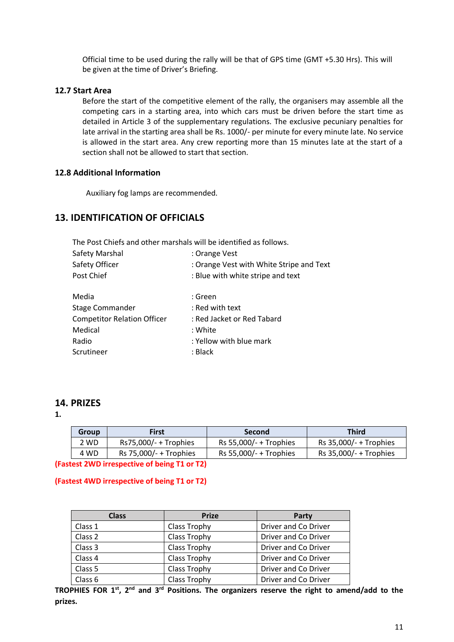Official time to be used during the rally will be that of GPS time (GMT +5.30 Hrs). This will be given at the time of Driver's Briefing.

## **12.7 Start Area**

Before the start of the competitive element of the rally, the organisers may assemble all the competing cars in a starting area, into which cars must be driven before the start time as detailed in Article 3 of the supplementary regulations. The exclusive pecuniary penalties for late arrival in the starting area shall be Rs. 1000/- per minute for every minute late. No service is allowed in the start area. Any crew reporting more than 15 minutes late at the start of a section shall not be allowed to start that section.

## **12.8 Additional Information**

Auxiliary fog lamps are recommended.

## **13. IDENTIFICATION OF OFFICIALS**

The Post Chiefs and other marshals will be identified as follows.

| Safety Marshal                     | : Orange Vest                            |
|------------------------------------|------------------------------------------|
| Safety Officer                     | : Orange Vest with White Stripe and Text |
| Post Chief                         | : Blue with white stripe and text        |
| Media                              | : Green                                  |
| Stage Commander                    | : Red with text                          |
| <b>Competitor Relation Officer</b> | : Red Jacket or Red Tabard               |
| Medical                            | : White                                  |
| Radio                              | : Yellow with blue mark                  |
| Scrutineer                         | : Black                                  |

## **14. PRIZES**

**1.**

| <b>Group</b> | First                    | <b>Second</b>            | <b>Third</b>             |
|--------------|--------------------------|--------------------------|--------------------------|
| 2 WD         | $Rs75,000/- +$ Trophies  | Rs 55,000/- + Trophies   | Rs $35,000/- +$ Trophies |
| 4 WD         | Rs $75,000/- +$ Trophies | Rs $55,000/- +$ Trophies | Rs $35,000/- +$ Trophies |

**(Fastest 2WD irrespective of being T1 or T2)**

## **(Fastest 4WD irrespective of being T1 or T2)**

| <b>Class</b> | <b>Prize</b> | Party                |
|--------------|--------------|----------------------|
| Class 1      | Class Trophy | Driver and Co Driver |
| Class 2      | Class Trophy | Driver and Co Driver |
| Class 3      | Class Trophy | Driver and Co Driver |
| Class 4      | Class Trophy | Driver and Co Driver |
| Class 5      | Class Trophy | Driver and Co Driver |
| Class 6      | Class Trophy | Driver and Co Driver |

**TROPHIES FOR 1st, 2nd and 3rd Positions. The organizers reserve the right to amend/add to the prizes.**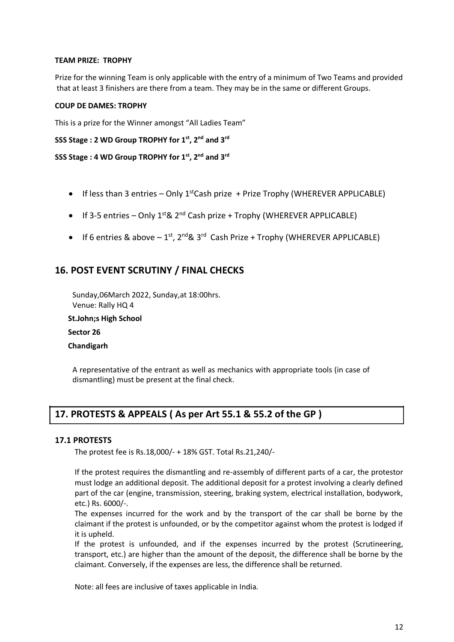## **TEAM PRIZE: TROPHY**

Prize for the winning Team is only applicable with the entry of a minimum of Two Teams and provided that at least 3 finishers are there from a team. They may be in the same or different Groups.

## **COUP DE DAMES: TROPHY**

This is a prize for the Winner amongst "All Ladies Team"

```
SSS Stage : 2 WD Group TROPHY for 1st, 2nd and 3rd
```

```
SSS Stage : 4 WD Group TROPHY for 1st, 2nd and 3rd
```
- If less than 3 entries Only  $1^{st}$ Cash prize + Prize Trophy (WHEREVER APPLICABLE)
- If 3-5 entries Only  $1^{st}$ &  $2^{nd}$  Cash prize + Trophy (WHEREVER APPLICABLE)
- If 6 entries & above  $-1^{st}$ ,  $2^{nd}$ &  $3^{rd}$  Cash Prize + Trophy (WHEREVER APPLICABLE)

## **16. POST EVENT SCRUTINY / FINAL CHECKS**

Sunday,06March 2022, Sunday,at 18:00hrs. Venue: Rally HQ 4

 **St.John;s High School**

 **Sector 26** 

 **Chandigarh**

A representative of the entrant as well as mechanics with appropriate tools (in case of dismantling) must be present at the final check.

## **17. PROTESTS & APPEALS ( As per Art 55.1 & 55.2 of the GP )**

## **17.1 PROTESTS**

The protest fee is Rs.18,000/- + 18% GST. Total Rs.21,240/-

If the protest requires the dismantling and re-assembly of different parts of a car, the protestor must lodge an additional deposit. The additional deposit for a protest involving a clearly defined part of the car (engine, transmission, steering, braking system, electrical installation, bodywork, etc.) Rs. 6000/-.

The expenses incurred for the work and by the transport of the car shall be borne by the claimant if the protest is unfounded, or by the competitor against whom the protest is lodged if it is upheld.

If the protest is unfounded, and if the expenses incurred by the protest (Scrutineering, transport, etc.) are higher than the amount of the deposit, the difference shall be borne by the claimant. Conversely, if the expenses are less, the difference shall be returned.

Note: all fees are inclusive of taxes applicable in India.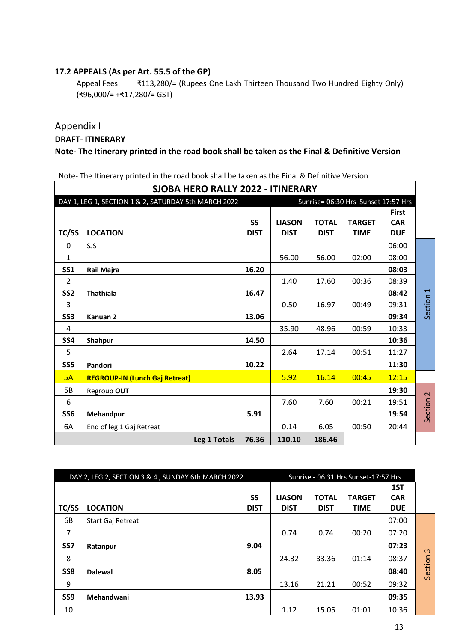## **17.2 APPEALS (As per Art. 55.5 of the GP)**

Appeal Fees: ₹113,280/= (Rupees One Lakh Thirteen Thousand Two Hundred Eighty Only) (₹96,000/= +₹17,280/= GST)

## Appendix I

## **DRAFT- ITINERARY**

## **Note- The Itinerary printed in the road book shall be taken as the Final & Definitive Version**

Note- The Itinerary printed in the road book shall be taken as the Final & Definitive Version

| SJOBA HERO RALLY 2022 - ITINERARY |                                                      |             |               |              |                                     |              |                      |
|-----------------------------------|------------------------------------------------------|-------------|---------------|--------------|-------------------------------------|--------------|----------------------|
|                                   | DAY 1, LEG 1, SECTION 1 & 2, SATURDAY 5th MARCH 2022 |             |               |              | Sunrise= 06:30 Hrs Sunset 17:57 Hrs |              |                      |
|                                   |                                                      |             |               |              |                                     | <b>First</b> |                      |
|                                   |                                                      | <b>SS</b>   | <b>LIASON</b> | <b>TOTAL</b> | <b>TARGET</b>                       | <b>CAR</b>   |                      |
| TC/SS                             | <b>LOCATION</b>                                      | <b>DIST</b> | <b>DIST</b>   | <b>DIST</b>  | <b>TIME</b>                         | <b>DUE</b>   |                      |
| 0                                 | <b>SJS</b>                                           |             |               |              |                                     | 06:00        |                      |
| $\mathbf{1}$                      |                                                      |             | 56.00         | 56.00        | 02:00                               | 08:00        |                      |
| <b>SS1</b>                        | <b>Rail Majra</b>                                    | 16.20       |               |              |                                     | 08:03        |                      |
| 2                                 |                                                      |             | 1.40          | 17.60        | 00:36                               | 08:39        |                      |
| SS <sub>2</sub>                   | <b>Thathiala</b>                                     | 16.47       |               |              |                                     | 08:42        |                      |
| 3                                 |                                                      |             | 0.50          | 16.97        | 00:49                               | 09:31        | Section 1            |
| <b>SS3</b>                        | Kanuan <sub>2</sub>                                  | 13.06       |               |              |                                     | 09:34        |                      |
| 4                                 |                                                      |             | 35.90         | 48.96        | 00:59                               | 10:33        |                      |
| <b>SS4</b>                        | Shahpur                                              | 14.50       |               |              |                                     | 10:36        |                      |
| 5                                 |                                                      |             | 2.64          | 17.14        | 00:51                               | 11:27        |                      |
| SS5                               | Pandori                                              | 10.22       |               |              |                                     | 11:30        |                      |
| 5A                                | <b>REGROUP-IN (Lunch Gaj Retreat)</b>                |             | 5.92          | 16.14        | 00:45                               | 12:15        |                      |
| 5B                                | Regroup OUT                                          |             |               |              |                                     | 19:30        |                      |
| 6                                 |                                                      |             | 7.60          | 7.60         | 00:21                               | 19:51        |                      |
| <b>SS6</b>                        | Mehandpur                                            | 5.91        |               |              |                                     | 19:54        | Section <sub>2</sub> |
| 6A                                | End of leg 1 Gaj Retreat                             |             | 0.14          | 6.05         | 00:50                               | 20:44        |                      |
|                                   | Leg 1 Totals                                         | 76.36       | 110.10        | 186.46       |                                     |              |                      |

| DAY 2, LEG 2, SECTION 3 & 4, SUNDAY 6th MARCH 2022 |                          |             | Sunrise - 06:31 Hrs Sunset-17:57 Hrs |              |               |            |          |
|----------------------------------------------------|--------------------------|-------------|--------------------------------------|--------------|---------------|------------|----------|
|                                                    |                          |             |                                      |              |               | 1ST        |          |
|                                                    |                          | SS          | <b>LIASON</b>                        | <b>TOTAL</b> | <b>TARGET</b> | <b>CAR</b> |          |
| TC/SS                                              | <b>LOCATION</b>          | <b>DIST</b> | <b>DIST</b>                          | <b>DIST</b>  | <b>TIME</b>   | <b>DUE</b> |          |
| 6B                                                 | <b>Start Gaj Retreat</b> |             |                                      |              |               | 07:00      |          |
| 7                                                  |                          |             | 0.74                                 | 0.74         | 00:20         | 07:20      |          |
| SS <sub>7</sub>                                    | Ratanpur                 | 9.04        |                                      |              |               | 07:23      | $\omega$ |
| 8                                                  |                          |             | 24.32                                | 33.36        | 01:14         | 08:37      |          |
| SS <sub>8</sub>                                    | <b>Dalewal</b>           | 8.05        |                                      |              |               | 08:40      | Section  |
| 9                                                  |                          |             | 13.16                                | 21.21        | 00:52         | 09:32      |          |
| SS <sub>9</sub>                                    | Mehandwani               | 13.93       |                                      |              |               | 09:35      |          |
| 10                                                 |                          |             | 1.12                                 | 15.05        | 01:01         | 10:36      |          |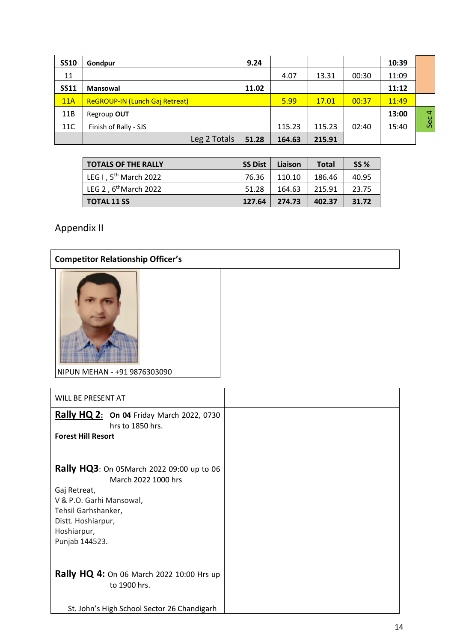| <b>SS10</b> | Gondpur                               | 9.24  |        |        |       | 10:39 |                |
|-------------|---------------------------------------|-------|--------|--------|-------|-------|----------------|
| 11          |                                       |       | 4.07   | 13.31  | 00:30 | 11:09 |                |
| <b>SS11</b> | <b>Mansowal</b>                       | 11.02 |        |        |       | 11:12 |                |
| 11A         | <b>ReGROUP-IN (Lunch Gaj Retreat)</b> |       | 5.99   | 17.01  | 00:37 | 11:49 |                |
| 11B         | Regroup OUT                           |       |        |        |       | 13:00 | $\overline{a}$ |
| 11C         | Finish of Rally - SJS                 |       | 115.23 | 115.23 | 02:40 | 15:40 | Sec            |
|             | Leg 2 Totals                          | 51.28 | 164.63 | 215.91 |       |       |                |

| <b>TOTALS OF THE RALLY</b>        | SS Dist | Liaison | Total  | <b>SS %</b> |
|-----------------------------------|---------|---------|--------|-------------|
| LEG I, 5 <sup>th</sup> March 2022 | 76.36   | 110.10  | 186.46 | 40.95       |
| LEG 2, 6 <sup>th</sup> March 2022 | 51.28   | 164.63  | 215.91 | 23.75       |
| <b>TOTAL 11 SS</b>                | 127.64  | 274.73  | 402.37 | 31.72       |

Appendix II

| <b>Competitor Relationship Officer's</b> |  |  |  |  |
|------------------------------------------|--|--|--|--|
|                                          |  |  |  |  |
| NIPUN MEHAN - +91 9876303090             |  |  |  |  |
|                                          |  |  |  |  |
| WILL BE PRESENT AT                       |  |  |  |  |
| <b>D.U.UQQ</b><br>.                      |  |  |  |  |

| WILL DE FREJEIN FAI                                                  |  |
|----------------------------------------------------------------------|--|
| <b>Rally HQ 2: On 04 Friday March 2022, 0730</b><br>hrs to 1850 hrs. |  |
| <b>Forest Hill Resort</b>                                            |  |
|                                                                      |  |
| <b>Rally HQ3</b> : On 05March 2022 09:00 up to 06                    |  |
| March 2022 1000 hrs                                                  |  |
| Gaj Retreat,                                                         |  |
| V & P.O. Garhi Mansowal,                                             |  |
| Tehsil Garhshanker,                                                  |  |
| Distt. Hoshiarpur,                                                   |  |
| Hoshiarpur,                                                          |  |
| Punjab 144523.                                                       |  |
|                                                                      |  |
| <b>Rally HQ 4:</b> On 06 March 2022 10:00 Hrs up                     |  |
| to 1900 hrs.                                                         |  |
|                                                                      |  |
| St. John's High School Sector 26 Chandigarh                          |  |